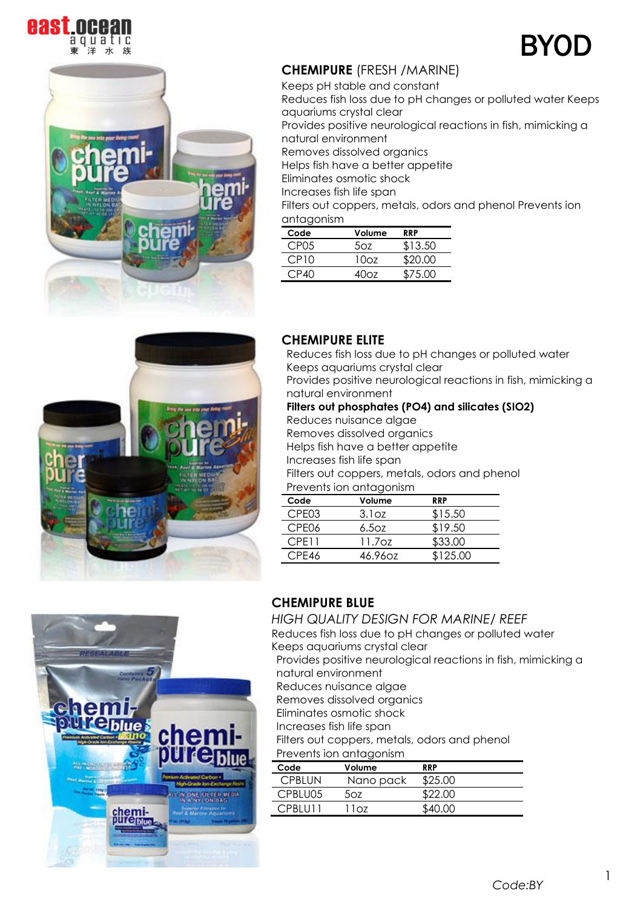





# **CHEMIPURE** (FRESH /MARINE)

Keeps pH stable and constant Reduces fish loss due to pH changes or polluted water Keeps aquariums crystal clear Provides positive neurological reactions in fish, mimicking a natural environment Removes dissolved organics Helps fish have a better appetite Eliminates osmotic shock Increases fish life span Filters out coppers, metals, odors and phenol Prevents ion antagonism

| Code             | Volume | RRP     |
|------------------|--------|---------|
| CP <sub>05</sub> | 50z    | \$13.50 |
| CP10             | 1007   | \$20.00 |
| CP40             | 40റ7   | \$75.00 |



### **CHEMIPURE ELITE**

Reduces fish loss due to pH changes or polluted water Keeps aquariums crystal clear Provides positive neurological reactions in fish, mimicking a natural environment

#### **Filters out phosphates (PO4) and silicates (SIO2)**

Reduces nuisance algae

Removes dissolved organics

Helps fish have a better appetite

Increases fish life span

Filters out coppers, metals, odors and phenol Prevents ion antagonism

| Code              | Volume  | <b>RRP</b> |
|-------------------|---------|------------|
| CPE <sub>03</sub> | 3.1oz   | \$15.50    |
| CPE06             | 6.50z   | \$19.50    |
| CPE11             | 11.7oz  | \$33.00    |
| CPE46             | 46.960z | \$125.00   |



# **CHEMIPURE BLUE**

*HIGH QUALITY DESIGN FOR MARINE/ REEF*

Reduces fish loss due to pH changes or polluted water Keeps aquariums crystal clear

Provides positive neurological reactions in fish, mimicking a natural environment

Reduces nuisance algae

Removes dissolved organics

Eliminates osmotic shock

Increases fish life span

Filters out coppers, metals, odors and phenol

#### Prevents ion antagonism

| Code          | Volume    | <b>RRP</b> |
|---------------|-----------|------------|
| <b>CPBIUN</b> | Nano pack | \$25.00    |
| CPBLU05       | 507.      | \$22.00    |
| CPBLU11       | 11oz      | \$40.00    |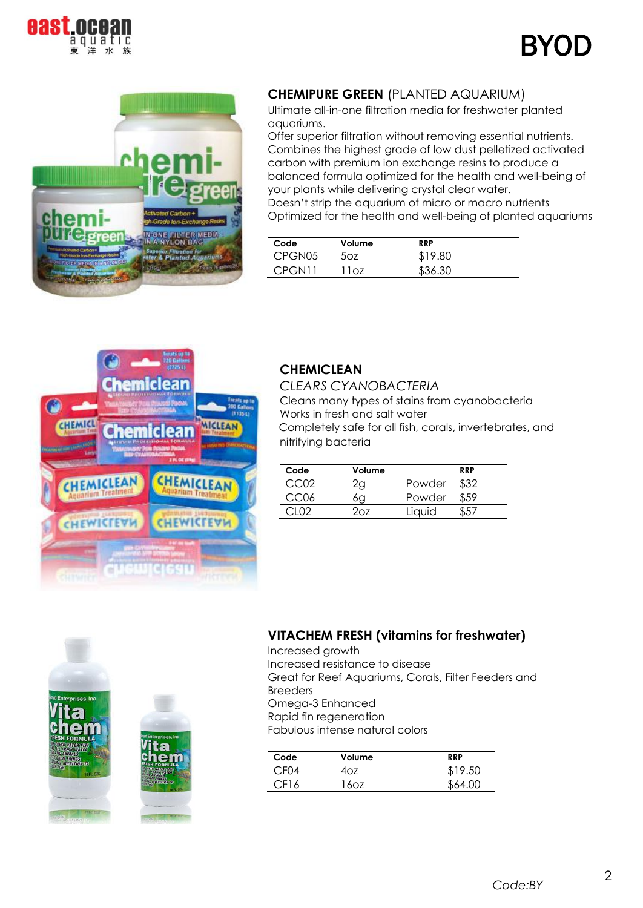





## **CHEMIPURE GREEN** (PLANTED AQUARIUM)

Ultimate all-in-one filtration media for freshwater planted aquariums.

Offer superior filtration without removing essential nutrients. Combines the highest grade of low dust pelletized activated carbon with premium ion exchange resins to produce a balanced formula optimized for the health and well-being of your plants while delivering crystal clear water.

Doesn't strip the aquarium of micro or macro nutrients Optimized for the health and well-being of planted aquariums

| Code   | Volume | <b>RRP</b> |  |
|--------|--------|------------|--|
| CPGN05 | דרה    | \$19.80    |  |
| CPGN11 | 1റ7    | \$36.30    |  |



### **CHEMICLEAN**

*CLEARS CYANOBACTERIA* Cleans many types of stains from cyanobacteria Works in fresh and salt water Completely safe for all fish, corals, invertebrates, and nitrifying bacteria

| Code | Volume |        | <b>RRP</b> |
|------|--------|--------|------------|
|      |        | Powder |            |
|      |        | Powder |            |
|      | ∩7     | Liauid |            |



Increased growth Increased resistance to disease Great for Reef Aquariums, Corals, Filter Feeders and Breeders Omega-3 Enhanced Rapid fin regeneration Fabulous intense natural colors

| Code | Volume | <b>RRP</b> |
|------|--------|------------|
|      |        |            |
| F16  |        |            |